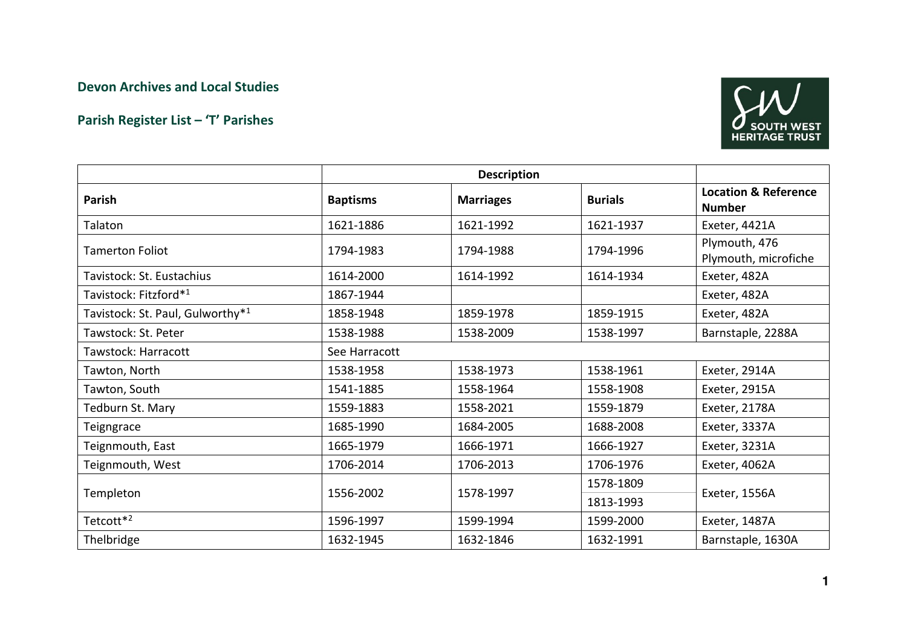## Devon Archives and Local Studies

## Parish Register List – 'T' Parishes



| Parish                                       | <b>Baptisms</b> | <b>Marriages</b> | <b>Burials</b> | <b>Location &amp; Reference</b><br><b>Number</b> |  |  |  |
|----------------------------------------------|-----------------|------------------|----------------|--------------------------------------------------|--|--|--|
| Talaton                                      | 1621-1886       | 1621-1992        | 1621-1937      | Exeter, 4421A                                    |  |  |  |
| <b>Tamerton Foliot</b>                       | 1794-1983       | 1794-1988        | 1794-1996      | Plymouth, 476<br>Plymouth, microfiche            |  |  |  |
| Tavistock: St. Eustachius                    | 1614-2000       | 1614-1992        | 1614-1934      | Exeter, 482A                                     |  |  |  |
| Tavistock: Fitzford* <sup>1</sup>            | 1867-1944       |                  |                | Exeter, 482A                                     |  |  |  |
| Tavistock: St. Paul, Gulworthy* <sup>1</sup> | 1858-1948       | 1859-1978        | 1859-1915      | Exeter, 482A                                     |  |  |  |
| Tawstock: St. Peter                          | 1538-1988       | 1538-2009        | 1538-1997      | Barnstaple, 2288A                                |  |  |  |
| Tawstock: Harracott                          | See Harracott   |                  |                |                                                  |  |  |  |
| Tawton, North                                | 1538-1958       | 1538-1973        | 1538-1961      | Exeter, 2914A                                    |  |  |  |
| Tawton, South                                | 1541-1885       | 1558-1964        | 1558-1908      | Exeter, 2915A                                    |  |  |  |
| Tedburn St. Mary                             | 1559-1883       | 1558-2021        | 1559-1879      | Exeter, 2178A                                    |  |  |  |
| Teigngrace                                   | 1685-1990       | 1684-2005        | 1688-2008      | Exeter, 3337A                                    |  |  |  |
| Teignmouth, East                             | 1665-1979       | 1666-1971        | 1666-1927      | Exeter, 3231A                                    |  |  |  |
| Teignmouth, West                             | 1706-2014       | 1706-2013        | 1706-1976      | Exeter, 4062A                                    |  |  |  |
| Templeton                                    | 1556-2002       |                  | 1578-1809      |                                                  |  |  |  |
|                                              |                 | 1578-1997        | 1813-1993      | Exeter, 1556A                                    |  |  |  |
| Tetcott <sup>*2</sup>                        | 1596-1997       | 1599-1994        | 1599-2000      | Exeter, 1487A                                    |  |  |  |
| Thelbridge                                   | 1632-1945       | 1632-1846        | 1632-1991      | Barnstaple, 1630A                                |  |  |  |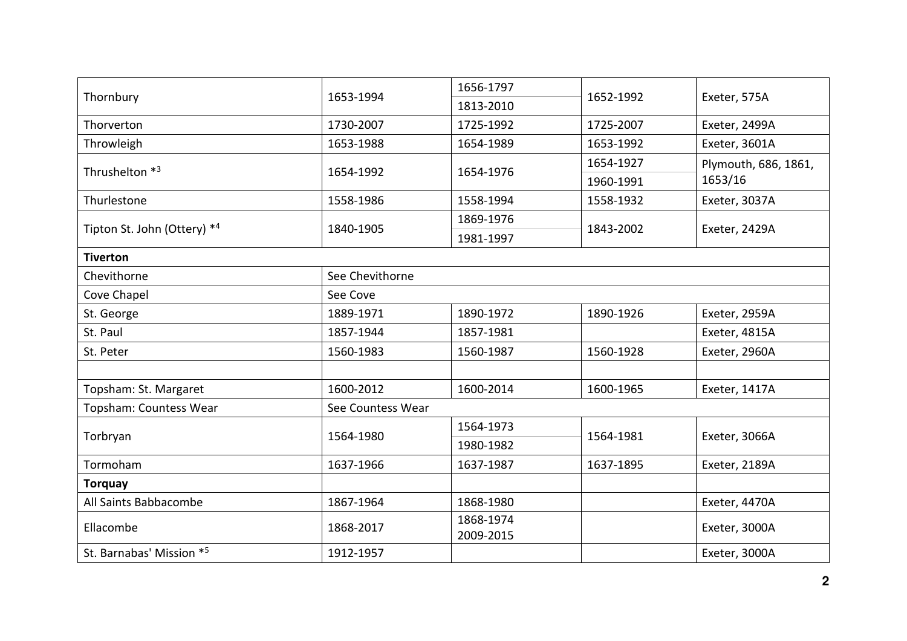| Thornbury                   | 1653-1994         | 1656-1797 | 1652-1992 | Exeter, 575A                    |  |
|-----------------------------|-------------------|-----------|-----------|---------------------------------|--|
|                             |                   | 1813-2010 |           |                                 |  |
| Thorverton                  | 1730-2007         | 1725-1992 | 1725-2007 | Exeter, 2499A                   |  |
| Throwleigh                  | 1653-1988         | 1654-1989 | 1653-1992 | Exeter, 3601A                   |  |
| Thrushelton *3              | 1654-1992         | 1654-1976 | 1654-1927 | Plymouth, 686, 1861,<br>1653/16 |  |
|                             |                   |           | 1960-1991 |                                 |  |
| Thurlestone                 | 1558-1986         | 1558-1994 | 1558-1932 | Exeter, 3037A                   |  |
| Tipton St. John (Ottery) *4 |                   | 1869-1976 |           | Exeter, 2429A                   |  |
|                             | 1840-1905         | 1981-1997 | 1843-2002 |                                 |  |
| <b>Tiverton</b>             |                   |           |           |                                 |  |
| Chevithorne                 | See Chevithorne   |           |           |                                 |  |
| Cove Chapel                 | See Cove          |           |           |                                 |  |
| St. George                  | 1889-1971         | 1890-1972 | 1890-1926 | Exeter, 2959A                   |  |
| St. Paul                    | 1857-1944         | 1857-1981 |           | Exeter, 4815A                   |  |
| St. Peter                   | 1560-1983         | 1560-1987 | 1560-1928 | Exeter, 2960A                   |  |
|                             |                   |           |           |                                 |  |
| Topsham: St. Margaret       | 1600-2012         | 1600-2014 | 1600-1965 | Exeter, 1417A                   |  |
| Topsham: Countess Wear      | See Countess Wear |           |           |                                 |  |
| Torbryan                    | 1564-1980         | 1564-1973 |           | Exeter, 3066A                   |  |
|                             |                   | 1980-1982 | 1564-1981 |                                 |  |
| Tormoham                    | 1637-1966         | 1637-1987 | 1637-1895 | Exeter, 2189A                   |  |
| <b>Torquay</b>              |                   |           |           |                                 |  |
| All Saints Babbacombe       | 1867-1964         | 1868-1980 |           | Exeter, 4470A                   |  |
| Ellacombe                   | 1868-2017         | 1868-1974 |           | Exeter, 3000A                   |  |
|                             |                   | 2009-2015 |           |                                 |  |
| St. Barnabas' Mission *5    | 1912-1957         |           |           | Exeter, 3000A                   |  |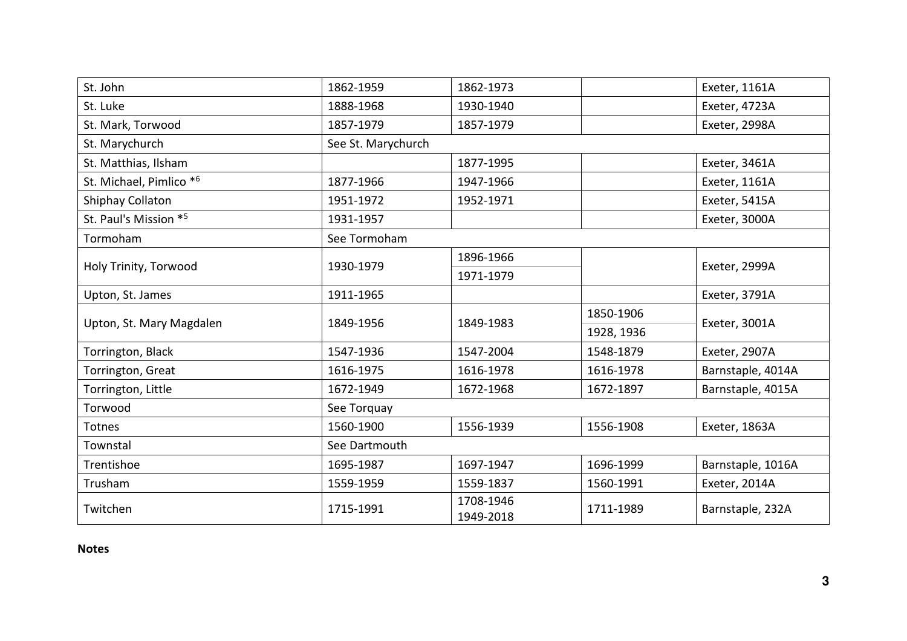| St. John                 | 1862-1959          | 1862-1973              |            | Exeter, 1161A     |  |  |
|--------------------------|--------------------|------------------------|------------|-------------------|--|--|
| St. Luke                 | 1888-1968          | 1930-1940              |            | Exeter, 4723A     |  |  |
| St. Mark, Torwood        | 1857-1979          | 1857-1979              |            | Exeter, 2998A     |  |  |
| St. Marychurch           | See St. Marychurch |                        |            |                   |  |  |
| St. Matthias, Ilsham     |                    | 1877-1995              |            | Exeter, 3461A     |  |  |
| St. Michael, Pimlico *6  | 1877-1966          | 1947-1966              |            | Exeter, 1161A     |  |  |
| Shiphay Collaton         | 1951-1972          | 1952-1971              |            | Exeter, 5415A     |  |  |
| St. Paul's Mission *5    | 1931-1957          |                        |            | Exeter, 3000A     |  |  |
| Tormoham                 | See Tormoham       |                        |            |                   |  |  |
| Holy Trinity, Torwood    | 1930-1979          | 1896-1966              |            |                   |  |  |
|                          |                    | 1971-1979              |            | Exeter, 2999A     |  |  |
| Upton, St. James         | 1911-1965          |                        |            | Exeter, 3791A     |  |  |
| Upton, St. Mary Magdalen | 1849-1956          | 1849-1983              | 1850-1906  | Exeter, 3001A     |  |  |
|                          |                    |                        | 1928, 1936 |                   |  |  |
| Torrington, Black        | 1547-1936          | 1547-2004              | 1548-1879  | Exeter, 2907A     |  |  |
| Torrington, Great        | 1616-1975          | 1616-1978              | 1616-1978  | Barnstaple, 4014A |  |  |
| Torrington, Little       | 1672-1949          | 1672-1968              | 1672-1897  | Barnstaple, 4015A |  |  |
| Torwood                  | See Torquay        |                        |            |                   |  |  |
| Totnes                   | 1560-1900          | 1556-1939              | 1556-1908  | Exeter, 1863A     |  |  |
| Townstal                 | See Dartmouth      |                        |            |                   |  |  |
| Trentishoe               | 1695-1987          | 1697-1947              | 1696-1999  | Barnstaple, 1016A |  |  |
| Trusham                  | 1559-1959          | 1559-1837              | 1560-1991  | Exeter, 2014A     |  |  |
| Twitchen                 | 1715-1991          | 1708-1946<br>1949-2018 | 1711-1989  | Barnstaple, 232A  |  |  |

Notes